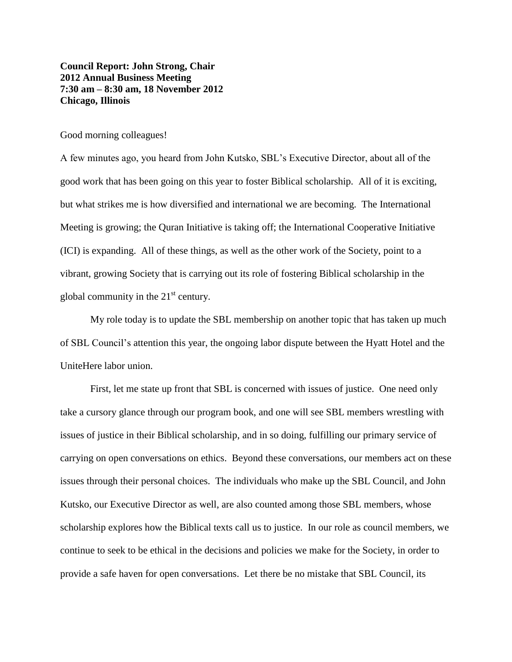**Council Report: John Strong, Chair 2012 Annual Business Meeting 7:30 am – 8:30 am, 18 November 2012 Chicago, Illinois**

Good morning colleagues!

A few minutes ago, you heard from John Kutsko, SBL's Executive Director, about all of the good work that has been going on this year to foster Biblical scholarship. All of it is exciting, but what strikes me is how diversified and international we are becoming. The International Meeting is growing; the Quran Initiative is taking off; the International Cooperative Initiative (ICI) is expanding. All of these things, as well as the other work of the Society, point to a vibrant, growing Society that is carrying out its role of fostering Biblical scholarship in the global community in the  $21<sup>st</sup>$  century.

My role today is to update the SBL membership on another topic that has taken up much of SBL Council's attention this year, the ongoing labor dispute between the Hyatt Hotel and the UniteHere labor union.

First, let me state up front that SBL is concerned with issues of justice. One need only take a cursory glance through our program book, and one will see SBL members wrestling with issues of justice in their Biblical scholarship, and in so doing, fulfilling our primary service of carrying on open conversations on ethics. Beyond these conversations, our members act on these issues through their personal choices. The individuals who make up the SBL Council, and John Kutsko, our Executive Director as well, are also counted among those SBL members, whose scholarship explores how the Biblical texts call us to justice. In our role as council members, we continue to seek to be ethical in the decisions and policies we make for the Society, in order to provide a safe haven for open conversations. Let there be no mistake that SBL Council, its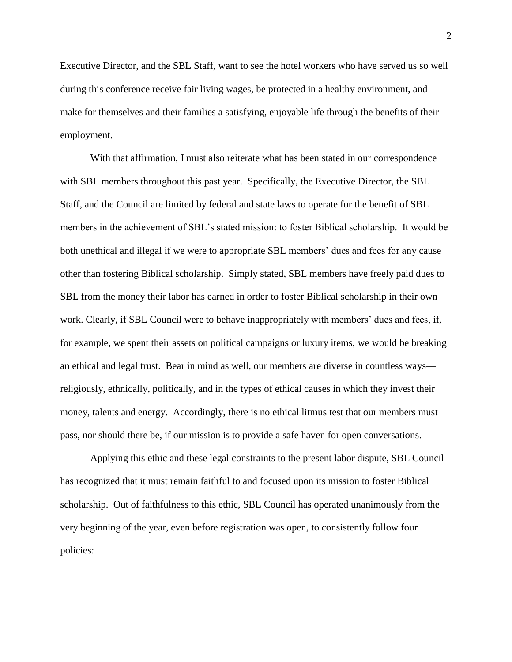Executive Director, and the SBL Staff, want to see the hotel workers who have served us so well during this conference receive fair living wages, be protected in a healthy environment, and make for themselves and their families a satisfying, enjoyable life through the benefits of their employment.

With that affirmation, I must also reiterate what has been stated in our correspondence with SBL members throughout this past year. Specifically, the Executive Director, the SBL Staff, and the Council are limited by federal and state laws to operate for the benefit of SBL members in the achievement of SBL's stated mission: to foster Biblical scholarship. It would be both unethical and illegal if we were to appropriate SBL members' dues and fees for any cause other than fostering Biblical scholarship. Simply stated, SBL members have freely paid dues to SBL from the money their labor has earned in order to foster Biblical scholarship in their own work. Clearly, if SBL Council were to behave inappropriately with members' dues and fees, if, for example, we spent their assets on political campaigns or luxury items, we would be breaking an ethical and legal trust. Bear in mind as well, our members are diverse in countless ways religiously, ethnically, politically, and in the types of ethical causes in which they invest their money, talents and energy. Accordingly, there is no ethical litmus test that our members must pass, nor should there be, if our mission is to provide a safe haven for open conversations.

Applying this ethic and these legal constraints to the present labor dispute, SBL Council has recognized that it must remain faithful to and focused upon its mission to foster Biblical scholarship. Out of faithfulness to this ethic, SBL Council has operated unanimously from the very beginning of the year, even before registration was open, to consistently follow four policies: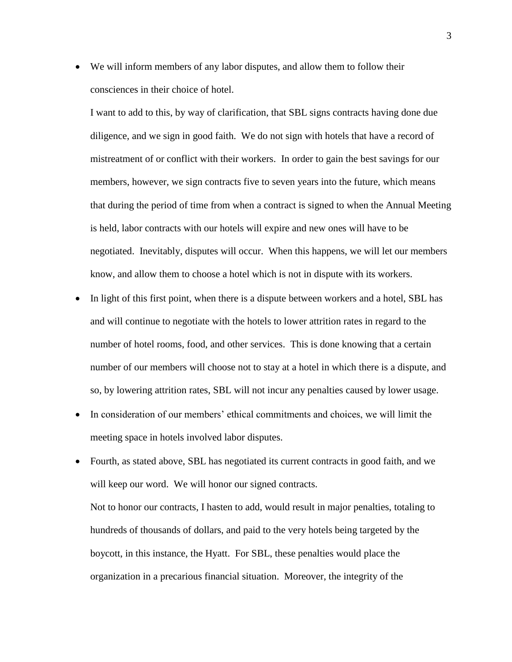We will inform members of any labor disputes, and allow them to follow their consciences in their choice of hotel.

I want to add to this, by way of clarification, that SBL signs contracts having done due diligence, and we sign in good faith. We do not sign with hotels that have a record of mistreatment of or conflict with their workers. In order to gain the best savings for our members, however, we sign contracts five to seven years into the future, which means that during the period of time from when a contract is signed to when the Annual Meeting is held, labor contracts with our hotels will expire and new ones will have to be negotiated. Inevitably, disputes will occur. When this happens, we will let our members know, and allow them to choose a hotel which is not in dispute with its workers.

- In light of this first point, when there is a dispute between workers and a hotel, SBL has and will continue to negotiate with the hotels to lower attrition rates in regard to the number of hotel rooms, food, and other services. This is done knowing that a certain number of our members will choose not to stay at a hotel in which there is a dispute, and so, by lowering attrition rates, SBL will not incur any penalties caused by lower usage.
- In consideration of our members' ethical commitments and choices, we will limit the meeting space in hotels involved labor disputes.
- Fourth, as stated above, SBL has negotiated its current contracts in good faith, and we will keep our word. We will honor our signed contracts. Not to honor our contracts, I hasten to add, would result in major penalties, totaling to hundreds of thousands of dollars, and paid to the very hotels being targeted by the boycott, in this instance, the Hyatt. For SBL, these penalties would place the organization in a precarious financial situation. Moreover, the integrity of the